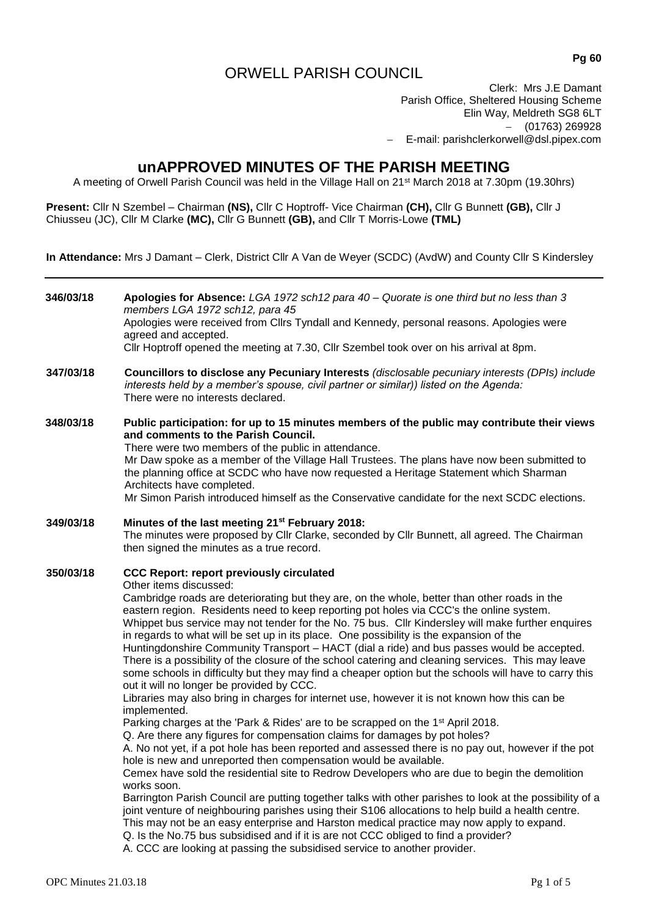# ORWELL PARISH COUNCIL

Clerk: Mrs J.E Damant Parish Office, Sheltered Housing Scheme Elin Way, Meldreth SG8 6LT  $-$  (01763) 269928 E-mail: parishclerkorwell@dsl.pipex.com

# **unAPPROVED MINUTES OF THE PARISH MEETING**

A meeting of Orwell Parish Council was held in the Village Hall on 21st March 2018 at 7.30pm (19.30hrs)

**Present:** Cllr N Szembel – Chairman **(NS),** Cllr C Hoptroff- Vice Chairman **(CH),** Cllr G Bunnett **(GB),** Cllr J Chiusseu (JC), Cllr M Clarke **(MC),** Cllr G Bunnett **(GB),** and Cllr T Morris-Lowe **(TML)**

**In Attendance:** Mrs J Damant – Clerk, District Cllr A Van de Weyer (SCDC) (AvdW) and County Cllr S Kindersley

| 346/03/18 | Apologies for Absence: LGA 1972 sch12 para $40 -$ Quorate is one third but no less than 3<br>members LGA 1972 sch12, para 45<br>Apologies were received from Cllrs Tyndall and Kennedy, personal reasons. Apologies were<br>agreed and accepted.<br>Cllr Hoptroff opened the meeting at 7.30, Cllr Szembel took over on his arrival at 8pm.                                                                                                                                                                                                                                                                                                                                                                                                                                                                                                                                                                                                                                                                                                                                                                                                                                                                                                                                                                                                                                                                                                                                                                                                                                                                                                                                                                                                                                                                                                                                                               |  |  |  |
|-----------|-----------------------------------------------------------------------------------------------------------------------------------------------------------------------------------------------------------------------------------------------------------------------------------------------------------------------------------------------------------------------------------------------------------------------------------------------------------------------------------------------------------------------------------------------------------------------------------------------------------------------------------------------------------------------------------------------------------------------------------------------------------------------------------------------------------------------------------------------------------------------------------------------------------------------------------------------------------------------------------------------------------------------------------------------------------------------------------------------------------------------------------------------------------------------------------------------------------------------------------------------------------------------------------------------------------------------------------------------------------------------------------------------------------------------------------------------------------------------------------------------------------------------------------------------------------------------------------------------------------------------------------------------------------------------------------------------------------------------------------------------------------------------------------------------------------------------------------------------------------------------------------------------------------|--|--|--|
| 347/03/18 | Councillors to disclose any Pecuniary Interests (disclosable pecuniary interests (DPIs) include<br>interests held by a member's spouse, civil partner or similar)) listed on the Agenda:<br>There were no interests declared.                                                                                                                                                                                                                                                                                                                                                                                                                                                                                                                                                                                                                                                                                                                                                                                                                                                                                                                                                                                                                                                                                                                                                                                                                                                                                                                                                                                                                                                                                                                                                                                                                                                                             |  |  |  |
| 348/03/18 | Public participation: for up to 15 minutes members of the public may contribute their views<br>and comments to the Parish Council.<br>There were two members of the public in attendance.<br>Mr Daw spoke as a member of the Village Hall Trustees. The plans have now been submitted to<br>the planning office at SCDC who have now requested a Heritage Statement which Sharman<br>Architects have completed.<br>Mr Simon Parish introduced himself as the Conservative candidate for the next SCDC elections.                                                                                                                                                                                                                                                                                                                                                                                                                                                                                                                                                                                                                                                                                                                                                                                                                                                                                                                                                                                                                                                                                                                                                                                                                                                                                                                                                                                          |  |  |  |
| 349/03/18 | Minutes of the last meeting 21 <sup>st</sup> February 2018:<br>The minutes were proposed by Cllr Clarke, seconded by Cllr Bunnett, all agreed. The Chairman<br>then signed the minutes as a true record.                                                                                                                                                                                                                                                                                                                                                                                                                                                                                                                                                                                                                                                                                                                                                                                                                                                                                                                                                                                                                                                                                                                                                                                                                                                                                                                                                                                                                                                                                                                                                                                                                                                                                                  |  |  |  |
| 350/03/18 | <b>CCC Report: report previously circulated</b><br>Other items discussed:<br>Cambridge roads are deteriorating but they are, on the whole, better than other roads in the<br>eastern region. Residents need to keep reporting pot holes via CCC's the online system.<br>Whippet bus service may not tender for the No. 75 bus. Cllr Kindersley will make further enquires<br>in regards to what will be set up in its place. One possibility is the expansion of the<br>Huntingdonshire Community Transport - HACT (dial a ride) and bus passes would be accepted.<br>There is a possibility of the closure of the school catering and cleaning services. This may leave<br>some schools in difficulty but they may find a cheaper option but the schools will have to carry this<br>out it will no longer be provided by CCC.<br>Libraries may also bring in charges for internet use, however it is not known how this can be<br>implemented.<br>Parking charges at the 'Park & Rides' are to be scrapped on the 1 <sup>st</sup> April 2018.<br>Q. Are there any figures for compensation claims for damages by pot holes?<br>A. No not yet, if a pot hole has been reported and assessed there is no pay out, however if the pot<br>hole is new and unreported then compensation would be available.<br>Cemex have sold the residential site to Redrow Developers who are due to begin the demolition<br>works soon.<br>Barrington Parish Council are putting together talks with other parishes to look at the possibility of a<br>joint venture of neighbouring parishes using their S106 allocations to help build a health centre.<br>This may not be an easy enterprise and Harston medical practice may now apply to expand.<br>Q. Is the No.75 bus subsidised and if it is are not CCC obliged to find a provider?<br>A. CCC are looking at passing the subsidised service to another provider. |  |  |  |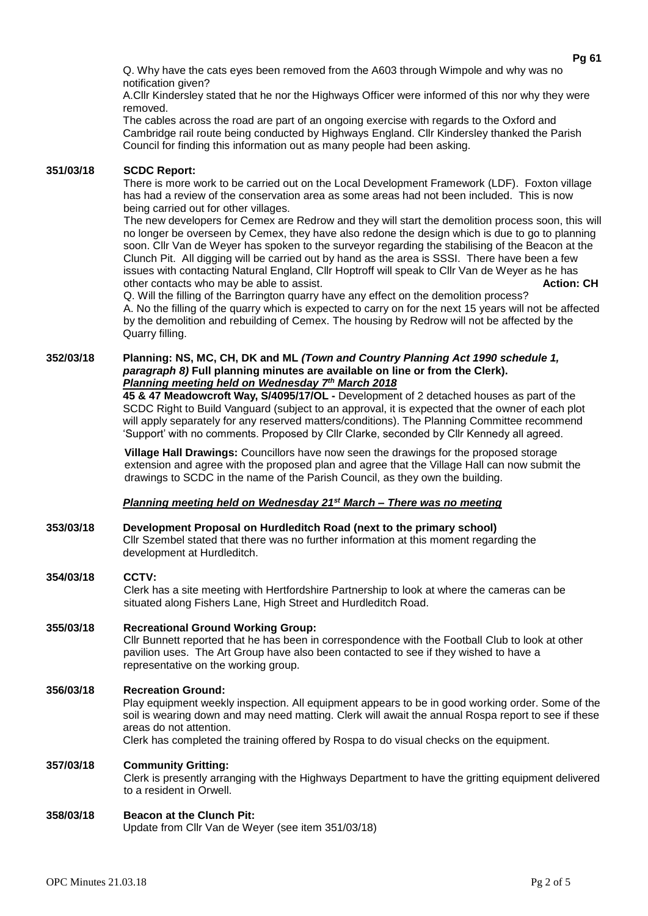Q. Why have the cats eyes been removed from the A603 through Wimpole and why was no notification given?

A.Cllr Kindersley stated that he nor the Highways Officer were informed of this nor why they were removed.

The cables across the road are part of an ongoing exercise with regards to the Oxford and Cambridge rail route being conducted by Highways England. Cllr Kindersley thanked the Parish Council for finding this information out as many people had been asking.

## **351/03/18 SCDC Report:**

There is more work to be carried out on the Local Development Framework (LDF). Foxton village has had a review of the conservation area as some areas had not been included. This is now being carried out for other villages.

The new developers for Cemex are Redrow and they will start the demolition process soon, this will no longer be overseen by Cemex, they have also redone the design which is due to go to planning soon. Cllr Van de Weyer has spoken to the surveyor regarding the stabilising of the Beacon at the Clunch Pit. All digging will be carried out by hand as the area is SSSI. There have been a few issues with contacting Natural England, Cllr Hoptroff will speak to Cllr Van de Weyer as he has other contacts who may be able to assist. **Action: CH**

Q. Will the filling of the Barrington quarry have any effect on the demolition process? A. No the filling of the quarry which is expected to carry on for the next 15 years will not be affected by the demolition and rebuilding of Cemex. The housing by Redrow will not be affected by the Quarry filling.

#### **352/03/18 Planning: NS, MC, CH, DK and ML** *(Town and Country Planning Act 1990 schedule 1, paragraph 8)* **Full planning minutes are available on line or from the Clerk).**  *Planning meeting held on Wednesday 7th March 2018*

**45 & 47 Meadowcroft Way, S/4095/17/OL -** Development of 2 detached houses as part of the SCDC Right to Build Vanguard (subject to an approval, it is expected that the owner of each plot will apply separately for any reserved matters/conditions). The Planning Committee recommend 'Support' with no comments. Proposed by Cllr Clarke, seconded by Cllr Kennedy all agreed.

**Village Hall Drawings:** Councillors have now seen the drawings for the proposed storage extension and agree with the proposed plan and agree that the Village Hall can now submit the drawings to SCDC in the name of the Parish Council, as they own the building.

# *Planning meeting held on Wednesday 21st March – There was no meeting*

**353/03/18 Development Proposal on Hurdleditch Road (next to the primary school)** Cllr Szembel stated that there was no further information at this moment regarding the development at Hurdleditch.

### **354/03/18 CCTV:**

Clerk has a site meeting with Hertfordshire Partnership to look at where the cameras can be situated along Fishers Lane, High Street and Hurdleditch Road.

# **355/03/18 Recreational Ground Working Group:**

Cllr Bunnett reported that he has been in correspondence with the Football Club to look at other pavilion uses. The Art Group have also been contacted to see if they wished to have a representative on the working group.

### **356/03/18 Recreation Ground:**

Play equipment weekly inspection. All equipment appears to be in good working order. Some of the soil is wearing down and may need matting. Clerk will await the annual Rospa report to see if these areas do not attention.

Clerk has completed the training offered by Rospa to do visual checks on the equipment.

# **357/03/18 Community Gritting:**

Clerk is presently arranging with the Highways Department to have the gritting equipment delivered to a resident in Orwell.

# **358/03/18 Beacon at the Clunch Pit:**

Update from Cllr Van de Weyer (see item 351/03/18)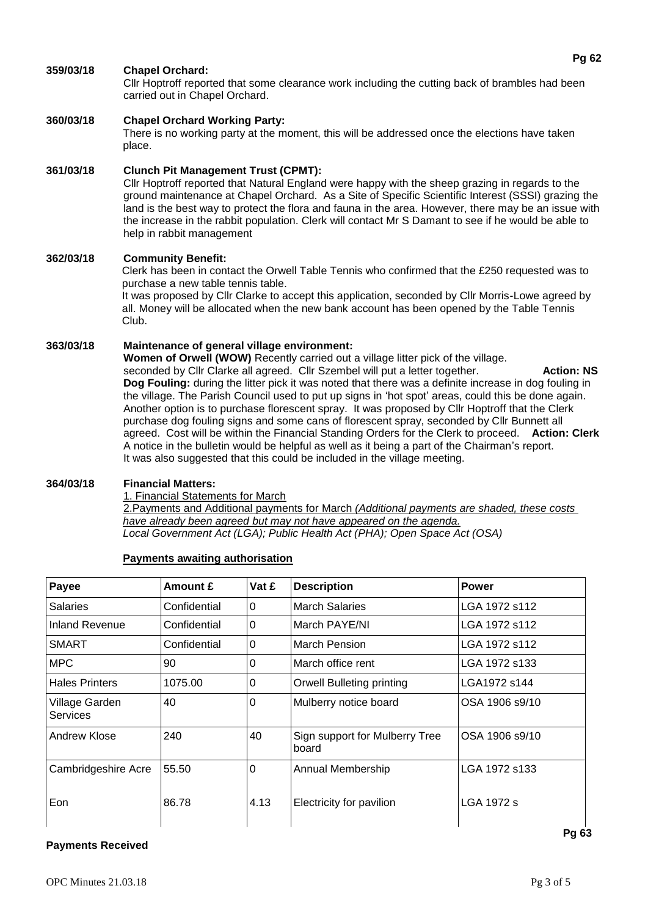# **359/03/18 Chapel Orchard:**

Cllr Hoptroff reported that some clearance work including the cutting back of brambles had been carried out in Chapel Orchard.

# **360/03/18 Chapel Orchard Working Party:**

There is no working party at the moment, this will be addressed once the elections have taken place.

# **361/03/18 Clunch Pit Management Trust (CPMT):**

Cllr Hoptroff reported that Natural England were happy with the sheep grazing in regards to the ground maintenance at Chapel Orchard. As a Site of Specific Scientific Interest (SSSI) grazing the land is the best way to protect the flora and fauna in the area. However, there may be an issue with the increase in the rabbit population. Clerk will contact Mr S Damant to see if he would be able to help in rabbit management

# **362/03/18 Community Benefit:**

Clerk has been in contact the Orwell Table Tennis who confirmed that the £250 requested was to purchase a new table tennis table.

It was proposed by Cllr Clarke to accept this application, seconded by Cllr Morris-Lowe agreed by all. Money will be allocated when the new bank account has been opened by the Table Tennis Club.

# **363/03/18 Maintenance of general village environment:**

**Women of Orwell (WOW)** Recently carried out a village litter pick of the village. seconded by Cllr Clarke all agreed. Cllr Szembel will put a letter together. **Action: NS Dog Fouling:** during the litter pick it was noted that there was a definite increase in dog fouling in the village. The Parish Council used to put up signs in 'hot spot' areas, could this be done again. Another option is to purchase florescent spray. It was proposed by Cllr Hoptroff that the Clerk purchase dog fouling signs and some cans of florescent spray, seconded by Cllr Bunnett all agreed. Cost will be within the Financial Standing Orders for the Clerk to proceed. **Action: Clerk** A notice in the bulletin would be helpful as well as it being a part of the Chairman's report. It was also suggested that this could be included in the village meeting.

# **364/03/18 Financial Matters:**

1. Financial Statements for March

2.Payments and Additional payments for March *(Additional payments are shaded, these costs have already been agreed but may not have appeared on the agenda. Local Government Act (LGA); Public Health Act (PHA); Open Space Act (OSA)*

# **Payments awaiting authorisation**

| Payee                             | Amount £     | Vat £    | <b>Description</b>                      | <b>Power</b>   |
|-----------------------------------|--------------|----------|-----------------------------------------|----------------|
| <b>Salaries</b>                   | Confidential | 0        | <b>March Salaries</b>                   | LGA 1972 s112  |
| Inland Revenue                    | Confidential | $\Omega$ | March PAYE/NI                           | LGA 1972 s112  |
| <b>SMART</b>                      | Confidential | $\Omega$ | March Pension                           | LGA 1972 s112  |
| <b>MPC</b>                        | 90           | 0        | March office rent                       | LGA 1972 s133  |
| <b>Hales Printers</b>             | 1075.00      | 0        | <b>Orwell Bulleting printing</b>        | LGA1972 s144   |
| Village Garden<br><b>Services</b> | 40           | $\Omega$ | Mulberry notice board                   | OSA 1906 s9/10 |
| Andrew Klose                      | 240          | 40       | Sign support for Mulberry Tree<br>board | OSA 1906 s9/10 |
| Cambridgeshire Acre               | 55.50        | $\Omega$ | Annual Membership                       | LGA 1972 s133  |
| Eon                               | 86.78        | 4.13     | Electricity for pavilion                | LGA 1972 s     |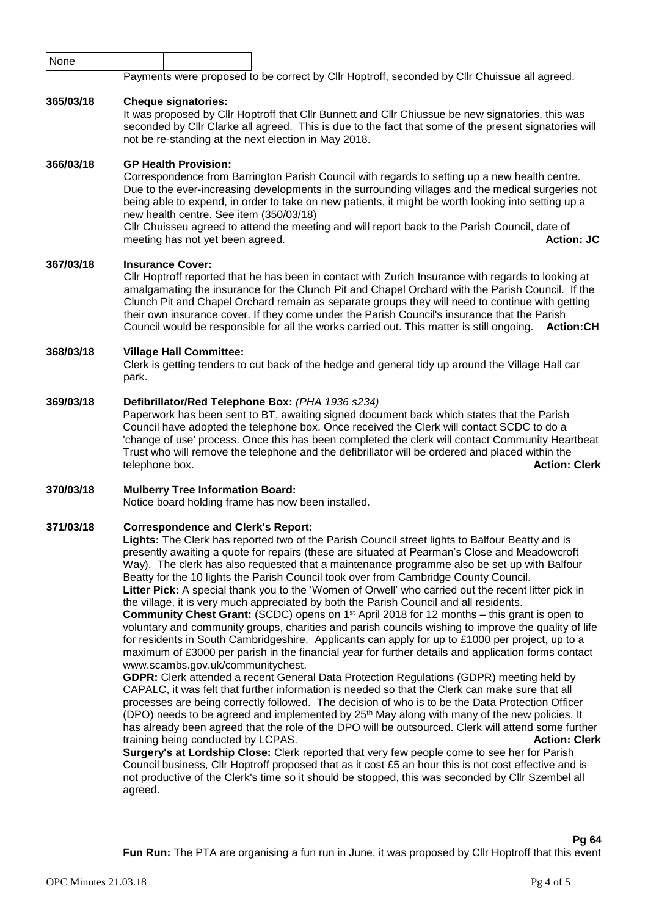| None      |                                                                                                                                                                                                                                                                                                                                                                                                                                                                                                                                                                                                                                                                                                                                                                                                                                                                                                                                                                                                                                                                                                                                                                                                                                                                                                                                                                                                                                                                                                                                                                                                                                                                                                     |  |  |  |  |  |
|-----------|-----------------------------------------------------------------------------------------------------------------------------------------------------------------------------------------------------------------------------------------------------------------------------------------------------------------------------------------------------------------------------------------------------------------------------------------------------------------------------------------------------------------------------------------------------------------------------------------------------------------------------------------------------------------------------------------------------------------------------------------------------------------------------------------------------------------------------------------------------------------------------------------------------------------------------------------------------------------------------------------------------------------------------------------------------------------------------------------------------------------------------------------------------------------------------------------------------------------------------------------------------------------------------------------------------------------------------------------------------------------------------------------------------------------------------------------------------------------------------------------------------------------------------------------------------------------------------------------------------------------------------------------------------------------------------------------------------|--|--|--|--|--|
|           | Payments were proposed to be correct by Cllr Hoptroff, seconded by Cllr Chuissue all agreed.                                                                                                                                                                                                                                                                                                                                                                                                                                                                                                                                                                                                                                                                                                                                                                                                                                                                                                                                                                                                                                                                                                                                                                                                                                                                                                                                                                                                                                                                                                                                                                                                        |  |  |  |  |  |
| 365/03/18 | <b>Cheque signatories:</b><br>It was proposed by CIIr Hoptroff that CIIr Bunnett and CIIr Chiussue be new signatories, this was<br>seconded by ClIr Clarke all agreed. This is due to the fact that some of the present signatories will<br>not be re-standing at the next election in May 2018.                                                                                                                                                                                                                                                                                                                                                                                                                                                                                                                                                                                                                                                                                                                                                                                                                                                                                                                                                                                                                                                                                                                                                                                                                                                                                                                                                                                                    |  |  |  |  |  |
| 366/03/18 | <b>GP Health Provision:</b><br>Correspondence from Barrington Parish Council with regards to setting up a new health centre.<br>Due to the ever-increasing developments in the surrounding villages and the medical surgeries not<br>being able to expend, in order to take on new patients, it might be worth looking into setting up a<br>new health centre. See item (350/03/18)<br>Cllr Chuisseu agreed to attend the meeting and will report back to the Parish Council, date of<br><b>Action: JC</b><br>meeting has not yet been agreed.                                                                                                                                                                                                                                                                                                                                                                                                                                                                                                                                                                                                                                                                                                                                                                                                                                                                                                                                                                                                                                                                                                                                                      |  |  |  |  |  |
| 367/03/18 | <b>Insurance Cover:</b><br>CIIr Hoptroff reported that he has been in contact with Zurich Insurance with regards to looking at<br>amalgamating the insurance for the Clunch Pit and Chapel Orchard with the Parish Council. If the<br>Clunch Pit and Chapel Orchard remain as separate groups they will need to continue with getting<br>their own insurance cover. If they come under the Parish Council's insurance that the Parish<br>Council would be responsible for all the works carried out. This matter is still ongoing.<br><b>Action:CH</b>                                                                                                                                                                                                                                                                                                                                                                                                                                                                                                                                                                                                                                                                                                                                                                                                                                                                                                                                                                                                                                                                                                                                              |  |  |  |  |  |
| 368/03/18 | <b>Village Hall Committee:</b><br>Clerk is getting tenders to cut back of the hedge and general tidy up around the Village Hall car<br>park.                                                                                                                                                                                                                                                                                                                                                                                                                                                                                                                                                                                                                                                                                                                                                                                                                                                                                                                                                                                                                                                                                                                                                                                                                                                                                                                                                                                                                                                                                                                                                        |  |  |  |  |  |
| 369/03/18 | Defibrillator/Red Telephone Box: (PHA 1936 s234)<br>Paperwork has been sent to BT, awaiting signed document back which states that the Parish<br>Council have adopted the telephone box. Once received the Clerk will contact SCDC to do a<br>'change of use' process. Once this has been completed the clerk will contact Community Heartbeat<br>Trust who will remove the telephone and the defibrillator will be ordered and placed within the<br>telephone box.<br><b>Action: Clerk</b>                                                                                                                                                                                                                                                                                                                                                                                                                                                                                                                                                                                                                                                                                                                                                                                                                                                                                                                                                                                                                                                                                                                                                                                                         |  |  |  |  |  |
| 370/03/18 | <b>Mulberry Tree Information Board:</b><br>Notice board holding frame has now been installed.                                                                                                                                                                                                                                                                                                                                                                                                                                                                                                                                                                                                                                                                                                                                                                                                                                                                                                                                                                                                                                                                                                                                                                                                                                                                                                                                                                                                                                                                                                                                                                                                       |  |  |  |  |  |
| 371/03/18 | <b>Correspondence and Clerk's Report:</b><br>Lights: The Clerk has reported two of the Parish Council street lights to Balfour Beatty and is<br>presently awaiting a quote for repairs (these are situated at Pearman's Close and Meadowcroft<br>Way). The clerk has also requested that a maintenance programme also be set up with Balfour<br>Beatty for the 10 lights the Parish Council took over from Cambridge County Council.<br>Litter Pick: A special thank you to the 'Women of Orwell' who carried out the recent litter pick in<br>the village, it is very much appreciated by both the Parish Council and all residents.<br><b>Community Chest Grant:</b> (SCDC) opens on 1 <sup>st</sup> April 2018 for 12 months – this grant is open to<br>voluntary and community groups, charities and parish councils wishing to improve the quality of life<br>for residents in South Cambridgeshire. Applicants can apply for up to £1000 per project, up to a<br>maximum of £3000 per parish in the financial year for further details and application forms contact<br>www.scambs.gov.uk/communitychest.<br>GDPR: Clerk attended a recent General Data Protection Regulations (GDPR) meeting held by<br>CAPALC, it was felt that further information is needed so that the Clerk can make sure that all<br>processes are being correctly followed. The decision of who is to be the Data Protection Officer<br>(DPO) needs to be agreed and implemented by 25 <sup>th</sup> May along with many of the new policies. It<br>has already been agreed that the role of the DPO will be outsourced. Clerk will attend some further<br>training being conducted by LCPAS.<br><b>Action: Clerk</b> |  |  |  |  |  |

**Surgery's at Lordship Close:** Clerk reported that very few people come to see her for Parish Council business, Cllr Hoptroff proposed that as it cost £5 an hour this is not cost effective and is not productive of the Clerk's time so it should be stopped, this was seconded by Cllr Szembel all agreed.